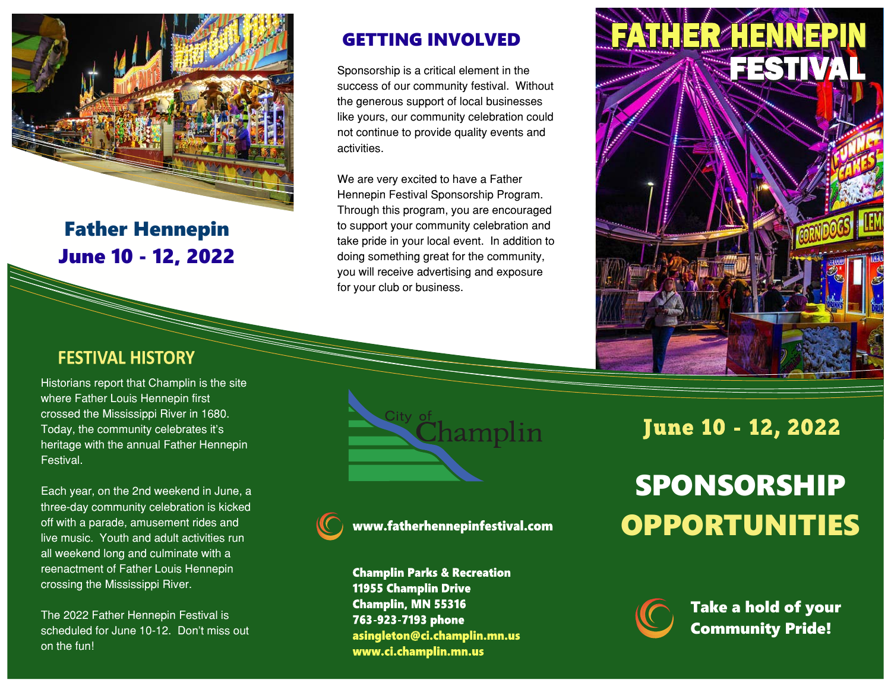

Father Hennepin June 10 - 12, 2022

### **FESTIVAL HISTORY**

Historians report that Champlin is the site where Father Louis Hennepin first crossed the Mississippi River in 1680. Today, the community celebrates it's heritage with the annual Father Hennepin Festival.

Each year, on the 2nd weekend in June, a three-day community celebration is kicked off with a parade, amusement rides and live music. Youth and adult activities run all weekend long and culminate with a reenactment of Father Louis Hennepin crossing the Mississippi River.

The 2022 Father Hennepin Festival is scheduled for June 10-12. Don't miss out on the fun!

#### GETTING INVOLVED

Sponsorship is a critical element in the success of our community festival. Without the generous support of local businesses like yours, our community celebration could not continue to provide quality events and activities.

We are very excited to have a Father Hennepin Festival Sponsorship Program. Through this program, you are encouraged to support your community celebration and take pride in your local event. In addition to doing something great for the community, you will receive advertising and exposure for your club or business.



**hamplin** 



www.fatherhennepinfestival.com

**Champlin Parks & Recreation 11955 Champlin Drive Champlin, MN 55316** 763-923-7193 phone asingleton@ci.champlin.mn.us www.ci.champlin.mn.us

# **June 10 - 12, 2022**

# SPONSORSHIP OPPORTUNITIES



Take a hold of your Community Pride!